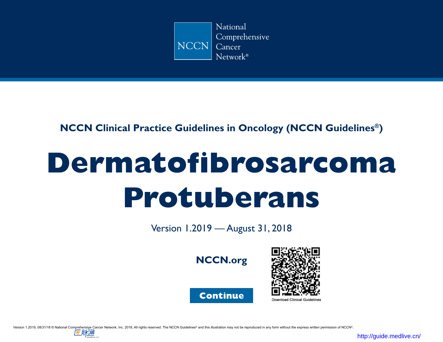

## **NCCN Clinical Practice Guidelines in Oncology (NCCN Guidelines®)**

# **Dermatofibrosarcoma Protuberans**

Version 1.2019 — August 31, 2018









を肪角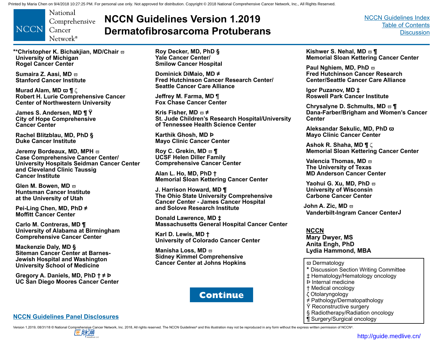<span id="page-1-0"></span>National Comprehensive **NCCN** Cancer Network<sup>®</sup>

# **NCCN Guidelines Version 1.2019 Dermatofibrosarcoma Protuberans**

[NCCN Guidelines Index](https://www.nccn.org/professionals/physician_gls/default.aspx) [Table of Contents](#page-2-0) **[Discussion](#page-9-0)** 

**\*\*Christopher K. Bichakjian, MD/Chair**  $\varpi$ **University of Michigan Rogel Cancer Center**

**Sumaira Z. Aasi, MD**  $\varpi$ **Stanford Cancer Institute**

**Murad Alam, MD**  $\varpi$  **1**  $\zeta$ **Robert H. Lurie Comprehensive Cancer Center of Northwestern University**

**James S. Andersen, MD ¶ Ÿ City of Hope Comprehensive Cancer Center**

**Rachel Blitzblau, MD, PhD § Duke Cancer Institute**

**Jeremy Bordeaux, MD, MPH**  $\varpi$ **Case Comprehensive Cancer Center/ University Hospitals Seidman Cancer Center and Cleveland Clinic Taussig Cancer Institute**

**Glen M. Bowen, MD**  $\overline{\omega}$ **Huntsman Cancer Institute at the University of Utah**

**Pei-Ling Chen, MD, PhD ≠ Moffitt Cancer Center**

**Carlo M. Contreras, MD ¶ University of Alabama at Birmingham Comprehensive Cancer Center**

**Mackenzie Daly, MD § Siteman Cancer Center at Barnes-Jewish Hospital and Washington University School of Medicine**

**Gregory A. Daniels, MD, PhD † ≠ Þ UC San Diego Moores Cancer Center** **Roy Decker, MD, PhD § Yale Cancer Center/ Smilow Cancer Hospital**

**Dominick DiMaio, MD ≠ Fred Hutchinson Cancer Research Center/ Seattle Cancer Care Alliance**

**Jeffrey M. Farma, MD** ¶ **Fox Chase Cancer Center**

**Kris Fisher, MD**  $\varpi$  ≠ **St. Jude Children's Research Hospital/University of Tennessee Health Science Center**

**Karthik Ghosh, MD Þ Mayo Clinic Cancer Center**

**Roy C. Grekin, MD**  $\varpi$  **¶ UCSF Helen Diller Family Comprehensive Cancer Center**

**Alan L. Ho, MD, PhD † Memorial Sloan Kettering Cancer Center**

**J. Harrison Howard, MD ¶ The Ohio State University Comprehensive Cancer Center - James Cancer Hospital and Solove Research Institute**

**Donald Lawrence, MD ‡ Massachusetts General Hospital Cancer Center**

**Karl D. Lewis, MD † University of Colorado Cancer Center**

**Manisha Loss, MD**  $\overline{w}$ **Sidney Kimmel Comprehensive Cancer Center at Johns Hopkins**



#### **[NCCN Guidelines Panel Disclosures](http://www.nccn.org/disclosures/panel_list.asp?ID=63)**

**Kishwer S. Nehal, MD**  $\varpi$  **¶ Memorial Sloan Kettering Cancer Center**

**Paul Nghiem, MD, PhD**  $\overline{\omega}$ **Fred Hutchinson Cancer Research Center/Seattle Cancer Care Alliance**

**Igor Puzanov, MD ‡ Roswell Park Cancer Institute**

**Chrysalyne D. Schmults, MD**  $\boldsymbol{\omega}$  **¶ Dana-Farber/Brigham and Women's Cancer Center** 

**Aleksandar Sekulic, MD, PhD ϖ Mayo Clinic Cancer Center** 

**Ashok R. Shaha, MD ¶** z **Memorial Sloan Kettering Cancer Center**

**Valencia Thomas, MD**  $\varpi$ **The University of Texas MD Anderson Cancer Center**

**Yaohui G. Xu, MD, PhD**  $\varpi$ **University of Wisconsin Carbone Cancer Center**

**John A. Zic, MD**  $\varpi$ **Vanderbilt-Ingram Cancer CenterJ**

**NCCN Mary Dwyer, MS Anita Engh, PhD Lydia Hammond, MBA**

ϖ Dermatology **\*** Discussion Section Writing Committee ‡ Hematology/Hematology oncology Þ Internal medicine † Medical oncology ζ Otolaryngology ≠ Pathology/Dermatopathology Y Reconstructive surgery § Radiotherapy/Radiation oncology ¶ Surgery/Surgical oncology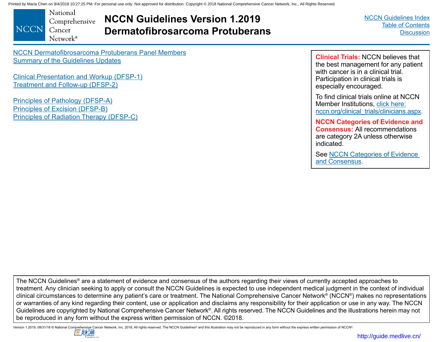<span id="page-2-0"></span>National Comprehensive **NCCN** Cancer Network<sup>®</sup>

**NCCN Guidelines Version 1.2019 Dermatofibrosarcoma Protuberans** [NCCN Guidelines Index](https://www.nccn.org/professionals/physician_gls/default.aspx) Table of Contents **[Discussion](#page-9-0)** 

[NCCN Dermatofibrosarcoma Protuberans Panel Members](#page-1-0) [Summary of the Guidelines Updates](#page-3-0)

[Clinical Presentation and Workup \(DFSP-1\)](#page-4-0) [Treatment and Follow-up \(DFSP-2\)](#page-5-0)

[Principles of Pathology \(DFSP-A\)](#page-6-0) Principles of [Excision \(DFSP-B\)](#page-7-0) [Principles of Radiation Therapy \(DFSP-C\)](#page-8-0)

**Clinical Trials:** NCCN believes that the best management for any patient with cancer is in a clinical trial. Participation in clinical trials is especially encouraged.

To find clinical trials online at NCCN Member Institutions, [click here:](http://www.nccn.org/clinical_trials/clinicians.aspx) [nccn.org/clinical\\_trials/clinicians.aspx.](http://www.nccn.org/clinical_trials/clinicians.aspx)

**NCCN Categories of Evidence and Consensus:** All recommendations are category 2A unless otherwise indicated.

See [NCCN Categories of Evidence](#page-9-0)  [and Consensus](#page-9-0).

The NCCN Guidelines® are a statement of evidence and consensus of the authors regarding their views of currently accepted approaches to treatment. Any clinician seeking to apply or consult the NCCN Guidelines is expected to use independent medical judgment in the context of individual clinical circumstances to determine any patient's care or treatment. The National Comprehensive Cancer Network® (NCCN®) makes no representations or warranties of any kind regarding their content, use or application and disclaims any responsibility for their application or use in any way. The NCCN Guidelines are copyrighted by National Comprehensive Cancer Network®. All rights reserved. The NCCN Guidelines and the illustrations herein may not be reproduced in any form without the express written permission of NCCN. ©2018.

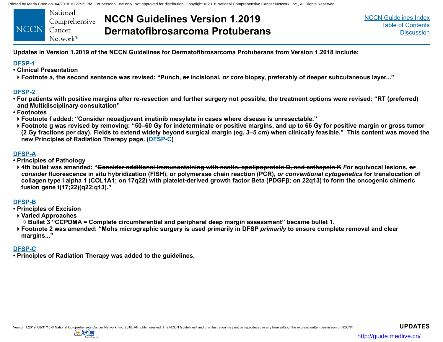<span id="page-3-0"></span>

|        | National             |
|--------|----------------------|
|        | Comprehensive        |
| NCCN . | Cancer               |
|        | Network <sup>®</sup> |

# **NCCN Guidelines Version 1.2019 Dermatofibrosarcoma Protuberans**

[NCCN Guidelines Index](https://www.nccn.org/professionals/physician_gls/default.aspx) [Table of Contents](#page-2-0) **[Discussion](#page-9-0)** 

**Updates in Version 1.2019 of the NCCN Guidelines for Dermatofibrosarcoma Protuberans from Version 1.2018 include:**

#### **[DFSP-1](#page-4-0)**

- **Clinical Presentation**
- **Footnote a, the second sentence was revised: "Punch, or incisional,** *or core* **biopsy, preferably of deeper subcutaneous layer..."**

#### **[DFSP-2](#page-5-0)**

- **For patients with positive margins after re-resection and further surgery not possible, the treatment options were revised: "RT (preferred) and Multidisciplinary consultation"**
- **Footnotes**
- **Footnote f added: "Consider neoadjuvant imatinib mesylate in cases where disease is unresectable."**
- **Footnote g was revised by removing: "50–60 Gy for indeterminate or positive margins, and up to 66 Gy for positive margin or gross tumor (2 Gy fractions per day). Fields to extend widely beyond surgical margin (eg, 3–5 cm) when clinically feasible." This content was moved the new Principles of Radiation Therapy page. ([DFSP-C\)](#page-8-0)**

#### **[DFSP-A](#page-6-0)**

- **Principles of Pathology**
- **4th bullet was amended: "Consider additional immunostaining with nestin, apolipoprotein D, and cathepsin K** *F***or equivocal lesions, or** *consider* **fluorescence in situ hybridization (FISH), or polymerase chain reaction (PCR),** *or conventional cytogenetics* **for translocation of collagen type I alpha 1 (COL1A1; on 17q22) with platelet-derived growth factor Beta (PDGFβ; on 22q13) to form the oncogenic chimeric fusion gene t(17;22)(q22;q13)."**

#### **[DFSP-B](#page-7-0)**

- **Principles of Excision**
- **Varied Approaches**
	- ◊ **Bullet 3 "CCPDMA = Complete circumferential and peripheral deep margin assessment" became bullet 1.**
- **Footnote 2 was amended: "Mohs micrographic surgery is used primarily in DFSP** *primarily* **to ensure complete removal and clear margins..."**

#### **[DFSP-C](#page-8-0)**

**• Principles of Radiation Therapy was added to the guidelines.**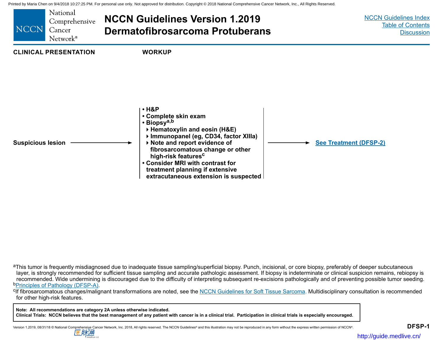<span id="page-4-0"></span>

<sup>a</sup>This tumor is frequently misdiagnosed due to inadequate tissue sampling/superficial biopsy. Punch, incisional, or core biopsy, preferably of deeper subcutaneous layer, is strongly recommended for sufficient tissue sampling and accurate pathologic assessment. If biopsy is indeterminate or clinical suspicion remains, rebiopsy is recommended. Wide undermining is discouraged due to the difficulty of interpreting subsequent re-excisions pathologically and of preventing possible tumor seeding.<br><sup>b</sup>Principles of Pathology (DFSP-A).

<sup>c</sup>If fibrosarcomatous changes/malignant transformations are noted, see the [NCCN Guidelines for Soft Tissue Sarcoma](https://www.nccn.org/professionals/physician_gls/pdf/sarcoma.pdf). Multidisciplinary consultation is recommended for other high-risk features.

**Note: All recommendations are category 2A unless otherwise indicated. Clinical Trials: NCCN believes that the best management of any patient with cancer is in a clinical trial. Participation in clinical trials is especially encouraged.**

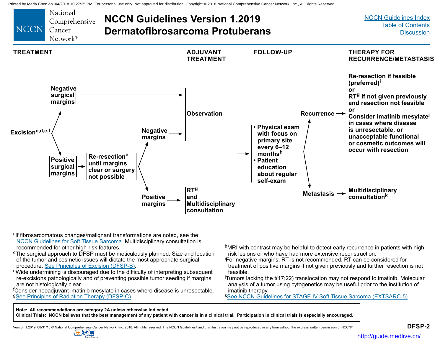<span id="page-5-0"></span>

<sup>c</sup>If fibrosarcomatous changes/malignant transformations are noted, see the [NCCN Guidelines for Soft Tissue Sarcoma](https://www.nccn.org/professionals/physician_gls/pdf/sarcoma.pdf). Multidisciplinary consultation is recommended for other high-risk features.

<sup>d</sup>The surgical approach to DFSP must be meticulously planned. Size and location of the tumor and cosmetic issues will dictate the most appropriate surgical procedure. See Principles of Excision (DFSP-B).

ewide undermining is discouraged due to the difficulty of interpreting subsequent re-excisions pathologically and of preventing possible tumor seeding if margins are not histologically clear.

f Consider neoadjuvant imatinib mesylate in cases where disease is unresectable. <sup>g</sup>[See Principles of Radiation Therapy \(DFSP-C\)](#page-8-0).

hMRI with contrast may be helpful to detect early recurrence in patients with highrisk lesions or who have had more extensive reconstruction.

i For negative margins, RT is not recommended. RT can be considered for treatment of positive margins if not given previously and further resection is not feasible.

j Tumors lacking the t(17;22) translocation may not respond to imatinib. Molecular analysis of a tumor using cytogenetics may be useful prior to the institution of imatinib therapy.

<sup>k</sup>[See NCCN Guidelines for STAGE IV Soft Tissue Sarcoma \(EXTSARC-5\)](https://www.nccn.org/professionals/physician_gls/pdf/sarcoma.pdf).

**Note: All recommendations are category 2A unless otherwise indicated. Clinical Trials: NCCN believes that the best management of any patient with cancer is in a clinical trial. Participation in clinical trials is especially encouraged.**

を肪通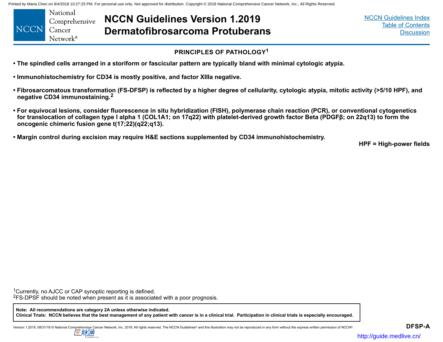<span id="page-6-0"></span>National Comprehensive **NCCN** Cancer Network<sup>®</sup>

**NCCN Guidelines Version 1.2019 Dermatofibrosarcoma Protuberans** [NCCN Guidelines Index](https://www.nccn.org/professionals/physician_gls/default.aspx) [Table of Contents](#page-2-0) **[Discussion](#page-9-0)** 

## **PRINCIPLES OF PATHOLOGY<sup>1</sup>**

- **The spindled cells arranged in a storiform or fascicular pattern are typically bland with minimal cytologic atypia.**
- **Immunohistochemistry for CD34 is mostly positive, and factor XIIIa negative.**
- **Fibrosarcomatous transformation (FS-DFSP) is reflected by a higher degree of cellularity, cytologic atypia, mitotic activity (>5/10 HPF), and negative CD34 immunostaining.2**
- **For equivocal lesions, consider fluorescence in situ hybridization (FISH), polymerase chain reaction (PCR), or conventional cytogenetics for translocation of collagen type I alpha 1 (COL1A1; on 17q22) with platelet-derived growth factor Beta (PDGFβ; on 22q13) to form the oncogenic chimeric fusion gene t(17;22)(q22;q13).**
- **Margin control during excision may require H&E sections supplemented by CD34 immunohistochemistry.**

**HPF = High-power fields**

<sup>1</sup>Currently, no AJCC or CAP synoptic reporting is defined.

<sup>2</sup>FS-DPSF should be noted when present as it is associated with a poor prognosis.

**Note: All recommendations are category 2A unless otherwise indicated. Clinical Trials: NCCN believes that the best management of any patient with cancer is in a clinical trial. Participation in clinical trials is especially encouraged.**

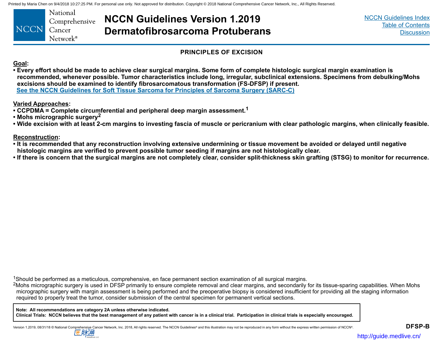<span id="page-7-0"></span>National Comprehensive **NCCN** Cancer Network<sup>®</sup>

**NCCN Guidelines Version 1.2019 Dermatofibrosarcoma Protuberans** [NCCN Guidelines Index](https://www.nccn.org/professionals/physician_gls/default.aspx) [Table of Contents](#page-2-0) **[Discussion](#page-9-0)** 

#### **PRINCIPLES OF EXCISION**

**Goal:**

**• Every effort should be made to achieve clear surgical margins. Some form of complete histologic surgical margin examination is recommended, whenever possible. Tumor characteristics include long, irregular, subclinical extensions. Specimens from debulking/Mohs excisions should be examined to identify fibrosarcomatous transformation (FS-DFSP) if present. [See the NCCN Guidelines for Soft Tissue Sarcoma for Principles of Sarcoma Surgery \(SARC-C\)](https://www.nccn.org/professionals/physician_gls/pdf/sarcoma.pdf)**

**Varied Approaches:**

- **CCPDMA = Complete circumferential and peripheral deep margin assessment.<sup>1</sup>**
- **Mohs micrographic surgery<sup>2</sup>**
- **Wide excision with at least 2-cm margins to investing fascia of muscle or pericranium with clear pathologic margins, when clinically feasible.**

**Reconstruction:**

- **It is recommended that any reconstruction involving extensive undermining or tissue movement be avoided or delayed until negative histologic margins are verified to prevent possible tumor seeding if margins are not histologically clear.**
- **If there is concern that the surgical margins are not completely clear, consider split-thickness skin grafting (STSG) to monitor for recurrence.**

<sup>1</sup>Should be performed as a meticulous, comprehensive, en face permanent section examination of all surgical margins.

<sup>2</sup>Mohs micrographic surgery is used in DFSP primarily to ensure complete removal and clear margins, and secondarily for its tissue-sparing capabilities. When Mohs micrographic surgery with margin assessment is being performed and the preoperative biopsy is considered insufficient for providing all the staging information required to properly treat the tumor, consider submission of the central specimen for permanent vertical sections.

**Note: All recommendations are category 2A unless otherwise indicated. Clinical Trials: NCCN believes that the best management of any patient with cancer is in a clinical trial. Participation in clinical trials is especially encouraged.**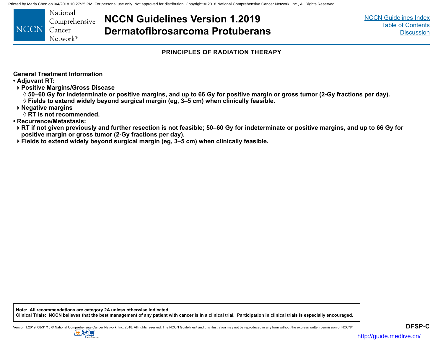<span id="page-8-0"></span>National Comprehensive **NCCN** Cancer Network<sup>®</sup>

## **NCCN Guidelines Version 1.2019 Dermatofibrosarcoma Protuberans**

[NCCN Guidelines Index](https://www.nccn.org/professionals/physician_gls/default.aspx) [Table of Contents](#page-2-0) **[Discussion](#page-9-0)** 

#### **PRINCIPLES OF RADIATION THERAPY**

**General Treatment Information**

**• Adjuvant RT:**

**Positive Margins/Gross Disease** 

 $\Diamond$  50–60 Gy for indeterminate or positive margins, and up to 66 Gy for positive margin or gross tumor (2-Gy fractions per day).

◊ **Fields to extend widely beyond surgical margin (eg, 3–5 cm) when clinically feasible.**

**Negative margins**

◊ **RT is not recommended.**

**• Recurrence/Metastasis:**

**RT if not given previously and further resection is not feasible; 50–60 Gy for indeterminate or positive margins, and up to 66 Gy for positive margin or gross tumor (2-Gy fractions per day).** 

**Fields to extend widely beyond surgical margin (eg, 3–5 cm) when clinically feasible.**

**Note: All recommendations are category 2A unless otherwise indicated. Clinical Trials: NCCN believes that the best management of any patient with cancer is in a clinical trial. Participation in clinical trials is especially encouraged.**

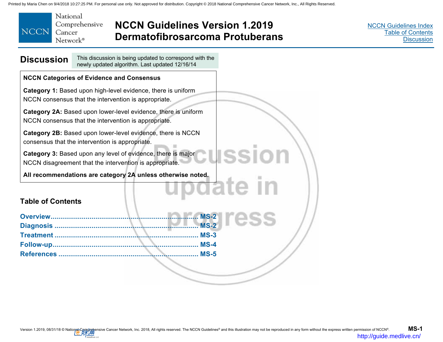<span id="page-9-0"></span>

|       | National             |
|-------|----------------------|
|       | Comprehensive        |
| NCCN: | Cancer               |
|       | Network <sup>®</sup> |

## **NCCN Guidelines Version 1.2019 Dermatofibrosarcoma Protuberans**

[NCCN Guidelines Index](http://www.nccn.org/professionals/physician_gls/f_guidelines.asp) [Table of Contents](#page-2-0) **Discussion** 

| <b>Discussion</b>        | This discussion is being updated to correspond with the<br>newly updated algorithm. Last updated 12/16/14                        |
|--------------------------|----------------------------------------------------------------------------------------------------------------------------------|
|                          | <b>NCCN Categories of Evidence and Consensus</b>                                                                                 |
|                          | Category 1: Based upon high-level evidence, there is uniform<br>NCCN consensus that the intervention is appropriate.             |
|                          | Category 2A: Based upon lower-level evidence, there is uniform<br>NCCN consensus that the intervention is appropriate.           |
|                          | Category 2B: Based upon lower-level evidence, there is NCCN<br>consensus that the intervention is appropriate.                   |
|                          | ISSIO<br>Category 3: Based upon any level of evidence, there is major<br>NCCN disagreement that the intervention is appropriate. |
|                          | All recommendations are category 2A unless otherwise noted.                                                                      |
|                          | poate In                                                                                                                         |
| <b>Table of Contents</b> |                                                                                                                                  |
| Overview                 | <b>MS-2</b>                                                                                                                      |
|                          | $MS-2$                                                                                                                           |
|                          | $MS-3$                                                                                                                           |
|                          | $MS-4$                                                                                                                           |
|                          | $MS-5$                                                                                                                           |
|                          |                                                                                                                                  |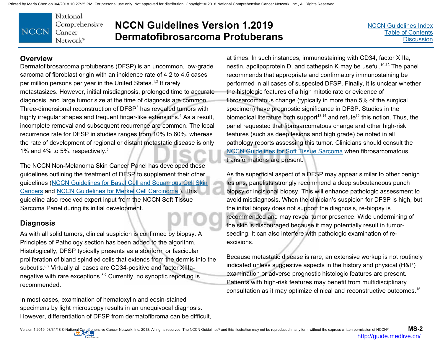National Comprehensive **NCCN** Cancer Network®

## **NCCN Guidelines Version 1.2019 Dermatofibrosarcoma Protuberans**

[NCCN Guidelines Index](http://www.nccn.org/professionals/physician_gls/f_guidelines.asp)[Table of Contents](#page-2-0) **[Discussion](#page-9-0)** 

## **Overview**

Dermatofibrosarcoma protuberans (DFSP) is an uncommon, low-grade sarcoma of fibroblast origin with an incidence rate of 4.2 to 4.5 cases per million persons per year in the United States.<sup>1,2</sup> It rarely metastasizes. However, initial misdiagnosis, prolonged time to accurate diagnosis, and large tumor size at the time of diagnosis are common. Three-dimensional reconstruction of  $DFSP<sup>3</sup>$  has revealed tumors with highly irregular shapes and frequent finger-like extensions.<sup>4</sup> As a result, incomplete removal and subsequent recurrence are common. The local recurrence rate for DFSP in studies ranges from 10% to 60%, whereas the rate of development of regional or distant metastatic disease is only 1% and 4% to 5%, respectively.<sup>5</sup>

The NCCN Non-Melanoma Skin Cancer Panel has developed these guidelines outlining the treatment of DFSP to supplement their other guidelines ([NCCN Guidelines for Basal Cell](https://www.nccn.org/professionals/physician_gls/pdf/nmsc.pdf) and [Squamous Cell Skin](https://www.nccn.org/professionals/physician_gls/pdf/squamous.pdf) [Cancers](https://www.nccn.org/professionals/physician_gls/pdf/squamous.pdf) and [NCCN Guidelines for Merkel Cell Carcinoma](https://www.nccn.org/professionals/physician_gls/pdf/mcc.pdf) ). This guideline also received expert input from the NCCN Soft Tissue Sarcoma Panel during its initial development.

## **Diagnosis**

As with all solid tumors, clinical suspicion is confirmed by biopsy. A Principles of Pathology section has been added to the algorithm. Histologically, DFSP typically presents as a storiform or fascicular proliferation of bland spindled cells that extends from the dermis into the subcutis.<sup>6,7</sup> Virtually all cases are CD34-positive and factor XIIIanegative with rare exceptions.<sup>8,9</sup> Currently, no synoptic reporting is recommended.

In most cases, examination of hematoxylin and eosin-stained specimens by light microscopy results in an unequivocal diagnosis. However, differentiation of DFSP from dermatofibroma can be difficult, at times. In such instances, immunostaining with CD34, factor XIIIa, nestin, apolipoprotein D, and cathepsin K may be useful.<sup>10-12</sup> The panel recommends that appropriate and confirmatory immunostaining be performed in all cases of suspected DFSP. Finally, it is unclear whether the histologic features of a high mitotic rate or evidence of fibrosarcomatous change (typically in more than 5% of the surgical specimen) have prognostic significance in DFSP. Studies in the biomedical literature both support<sup>13,14</sup> and refute<sup>15</sup> this notion. Thus, the panel requested that fibrosarcomatous change and other high-risk features (such as deep lesions and high grade) be noted in all pathology reports assessing this tumor. Clinicians should consult the [NCCN Guidelines for Soft Tissue Sarcoma](https://www.nccn.org/professionals/physician_gls/pdf/sarcoma.pdf) when fibrosarcomatous transformations are present.

As the superficial aspect of a DFSP may appear similar to other benign lesions, panelists strongly recommend a deep subcutaneous punch biopsy or incisional biopsy. This will enhance pathologic assessment to avoid misdiagnosis. When the clinician's suspicion for DFSP is high, but the initial biopsy does not support the diagnosis, re-biopsy is recommended and may reveal tumor presence. Wide undermining of the skin is discouraged because it may potentially result in tumorseeding. It can also interfere with pathologic examination of reexcisions.

Because metastatic disease is rare, an extensive workup is not routinely indicated unless suggestive aspects in the history and physical (H&P) examination or adverse prognostic histologic features are present. Patients with high-risk features may benefit from multidisciplinary consultation as it may optimize clinical and reconstructive outcomes.<sup>16</sup>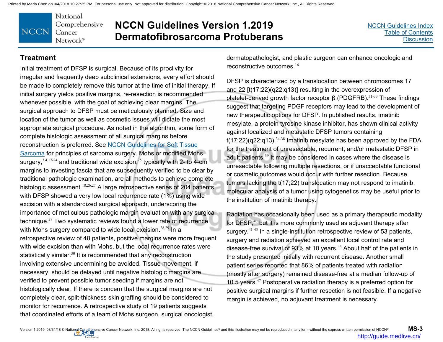National Comprehensive **NCCN** Cancer Network®

## **NCCN Guidelines Version 1.2019 Dermatofibrosarcoma Protuberans**

#### **Treatment**

Initial treatment of DFSP is surgical. Because of its proclivity for irregular and frequently deep subclinical extensions, every effort should be made to completely remove this tumor at the time of initial therapy. If initial surgery yields positive margins, re-resection is recommended whenever possible, with the goal of achieving clear margins. The surgical approach to DFSP must be meticulously planned. Size and location of the tumor as well as cosmetic issues will dictate the most appropriate surgical procedure. As noted in the algorithm, some form of complete histologic assessment of all surgical margins before reconstruction is preferred. See NCCN Guidelines for Soft Tissue [Sarcoma for principles of sarcoma surgery. Mohs or modified Moh](https://www.nccn.org/professionals/physician_gls/pdf/sarcoma.pdf)s surgery,  $3,4,17-24$  and traditional wide excision,  $25$  typically with 2- to 4-cm margins to investing fascia that are subsequently verified to be clear by traditional pathologic examination, are all methods to achieve complete histologic assessment.<sup>18,26,27</sup> A large retrospective series of 204 patients with DFSP showed a very low local recurrence rate (1%) using wide excision with a standardized surgical approach, underscoring the importance of meticulous pathologic margin evaluation with any surgical technique.<sup>27</sup> Two systematic reviews found a lower rate of recurrence with Mohs surgery compared to wide local excision.<sup>28,29</sup> In a retrospective review of 48 patients, positive margins were more frequent with wide excision than with Mohs, but the local recurrence rates were statistically similar.<sup>30</sup> It is recommended that any reconstruction involving extensive undermining be avoided. Tissue movement, if necessary, should be delayed until negative histologic margins are verified to prevent possible tumor seeding if margins are not histologically clear. If there is concern that the surgical margins are not completely clear, split-thickness skin grafting should be considered to monitor for recurrence. A retrospective study of 19 patients suggests that coordinated efforts of a team of Mohs surgeon, surgical oncologist,

dermatopathologist, and plastic surgeon can enhance oncologic and reconstructive outcomes.<sup>16</sup>

DFSP is characterized by a translocation between chromosomes 17 and 22 [t(17;22)(q22;q13)] resulting in the overexpression of platelet-derived growth factor receptor  $β$  (PDGFRB). 31-33 These findings suggest that targeting PDGF receptors may lead to the development of new therapeutic options for DFSP. In published results, imatinib mesylate, a protein tyrosine kinase inhibitor, has shown clinical activity against localized and metastatic DFSP tumors containing  $t(17;22)(q22;q13).$ <sup>34-38</sup> Imatinib mesylate has been approved by the FDA for the treatment of unresectable, recurrent, and/or metastatic DFSP in adult patients.<sup>39</sup> It may be considered in cases where the disease is unresectable following multiple resections, or if unacceptable functional or cosmetic outcomes would occur with further resection. Because tumors lacking the t(17;22) translocation may not respond to imatinib, molecular analysis of a tumor using cytogenetics may be useful prior to the institution of imatinib therapy.

Radiation has occasionally been used as a primary therapeutic modality for DFSP,<sup>40</sup> but it is more commonly used as adjuvant therapy after surgery.<sup>41-45</sup> In a single-institution retrospective review of 53 patients, surgery and radiation achieved an excellent local control rate and disease-free survival of 93% at 10 years.<sup>46</sup> About half of the patients in the study presented initially with recurrent disease. Another small patient series reported that 86% of patients treated with radiation (mostly after surgery) remained disease-free at a median follow-up of 10.5 years.<sup>47</sup> Postoperative radiation therapy is a preferred option for positive surgical margins if further resection is not feasible. If a negative margin is achieved, no adjuvant treatment is necessary.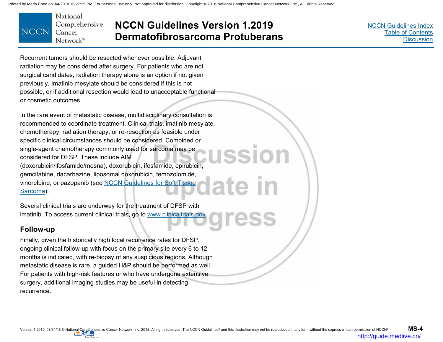

## **NCCN Guidelines Version 1.2019 Dermatofibrosarcoma Protuberans**

[NCCN Guidelines Index](http://www.nccn.org/professionals/physician_gls/f_guidelines.asp) [Table of Contents](#page-2-0) **[Discussion](#page-9-0)** 

Recurrent tumors should be resected whenever possible. Adjuvant radiation may be considered after surgery. For patients who are not surgical candidates, radiation therapy alone is an option if not given previously. Imatinib mesylate should be considered if this is not possible, or if additional resection would lead to unacceptable functional or cosmetic outcomes.

In the rare event of metastatic disease, multidisciplinary consultation is recommended to coordinate treatment. Clinical trials, imatinib mesylate, chemotherapy, radiation therapy, or re-resection as feasible under specific clinical circumstances should be considered. Combined or single-agent chemotherapy commonly used for sarcoma may be considered for DFSP. These include AIM (doxorubicin/ifosfamide/mesna), doxorubicin, ifosfamide, epirubicin, gemcitabine, dacarbazine, liposomal doxorubicin, temozolomide, [vinorelbine, or pazopanib \(see NCCN Guidelines for Soft Tissue](https://www.nccn.org/professionals/physician_gls/pdf/sarcoma.pdf) Sarcoma).

Several clinical trials are underway for the treatment of DFSP with imatinib. To access current clinical trials, go to www.clinicaltrials.gov.

## **Follow-up**

Finally, given the historically high local recurrence rates for DFSP, ongoing clinical follow-up with focus on the primary site every 6 to 12 months is indicated, with re-biopsy of any suspicious regions. Although metastatic disease is rare, a guided H&P should be performed as well. For patients with high-risk features or who have undergone extensive surgery, additional imaging studies may be useful in detecting recurrence.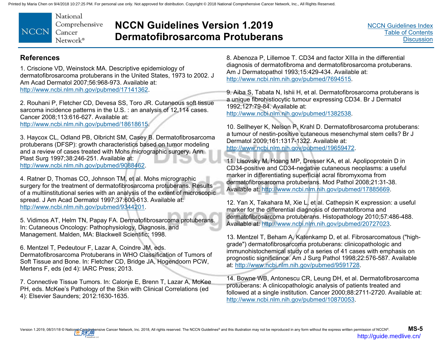

## **NCCN Guidelines Version 1.2019 Dermatofibrosarcoma Protuberans**

## **References**

1. Criscione VD, Weinstock MA. Descriptive epidemiology of dermatofibrosarcoma protuberans in the United States, 1973 to 2002. J Am Acad Dermatol 2007;56:968-973. Available at: http://www.ncbi.nlm.nih.gov/pubmed/17141362.

2. Rouhani P, Fletcher CD, Devesa SS, Toro JR. Cutaneous soft tissue sarcoma incidence patterns in the U.S. : an analysis of 12,114 cases. Cancer 2008;113:616-627. Available at: http://www.ncbi.nlm.nih.gov/pubmed/18618615.

3. Haycox CL, Odland PB, Olbricht SM, Casey B. Dermatofibrosarcoma protuberans (DFSP): growth characteristics based on tumor modeling and a review of cases treated with Mohs micrographic surgery. Ann Plast Surg 1997;38:246-251. Available at: http://www.ncbi.nlm.nih.gov/pubmed/9088462.

4. Ratner D, Thomas CO, Johnson TM, et al. Mohs micrographic surgery for the treatment of dermatofibrosarcoma protuberans. Results of a multiinstitutional series with an analysis of the extent of microscopic spread. J Am Acad Dermatol 1997;37:600-613. Available at: http://www.ncbi.nlm.nih.gov/pubmed/9344201.

5. Vidimos AT, Helm TN, Papay FA. Dermatofibrosarcoma protuberans. In: Cutaneous Oncology: Pathophysiology, Diagnosis, and Management. Malden, MA: Blackwell Scientific; 1998.

6. Mentzel T, Pedeutour F, Lazar A, Coindre JM, eds. Dermatofibrosarcoma Protuberans in WHO Classification of Tumors of Soft Tissue and Bone. In: Fletcher CD, Bridge JA, Hogendoorn PCW, Mertens F, eds (ed 4): IARC Press; 2013.

7. Connective Tissue Tumors. In: Calonje E, Brenn T, Lazar A, McKee PH, eds. McKee's Pathology of the Skin with Clinical Correlations (ed 4): Elsevier Saunders; 2012:1630-1635.

8. Abenoza P, Lillemoe T. CD34 and factor XIIIa in the differential diagnosis of dermatofibroma and dermatofibrosarcoma protuberans. Am J Dermatopathol 1993;15:429-434. Available at: http://www.ncbi.nlm.nih.gov/pubmed/7694515.

9. Aiba S, Tabata N, Ishii H, et al. Dermatofibrosarcoma protuberans is a unique fibrohistiocytic tumour expressing CD34. Br J Dermatol 1992;127:79-84. Available at: http://www.ncbi.nlm.nih.gov/pubmed/1382538.

10. Sellheyer K, Nelson P, Krahl D. Dermatofibrosarcoma protuberans: a tumour of nestin-positive cutaneous mesenchymal stem cells? Br J Dermatol 2009;161:1317-1322. Available at: http://www.ncbi.nlm.nih.gov/pubmed/19659472.

11. Lisovsky M, Hoang MP, Dresser KA, et al. Apolipoprotein D in CD34-positive and CD34-negative cutaneous neoplasms: a useful marker in differentiating superficial acral fibromyxoma from dermatofibrosarcoma protuberans. Mod Pathol 2008;21:31-38. Available at: http://www.ncbi.nlm.nih.gov/pubmed/17885669.

12. Yan X, Takahara M, Xie L, et al. Cathepsin K expression: a useful marker for the differential diagnosis of dermatofibroma and dermatofibrosarcoma protuberans. Histopathology 2010;57:486-488. Available at: http://www.ncbi.nlm.nih.gov/pubmed/20727023.

13. Mentzel T, Beham A, Katenkamp D, et al. Fibrosarcomatous ("highgrade") dermatofibrosarcoma protuberans: clinicopathologic and immunohistochemical study of a series of 41 cases with emphasis on prognostic significance. Am J Surg Pathol 1998;22:576-587. Available at: http://www.ncbi.nlm.nih.gov/pubmed/9591728.

14. Bowne WB, Antonescu CR, Leung DH, et al. Dermatofibrosarcoma protuberans: A clinicopathologic analysis of patients treated and followed at a single institution. Cancer 2000;88:2711-2720. Available at: http://www.ncbi.nlm.nih.gov/pubmed/10870053.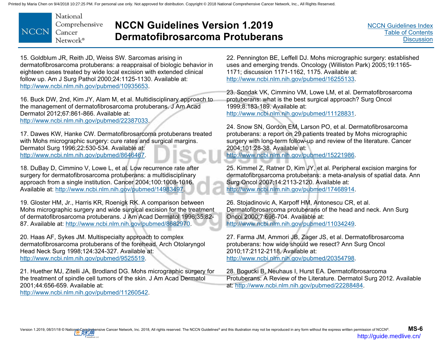

## **NCCN Guidelines Version 1.2019 Dermatofibrosarcoma Protuberans**

[NCCN Guidelines Index](http://www.nccn.org/professionals/physician_gls/f_guidelines.asp)[Table of Contents](#page-2-0) **[Discussion](#page-9-0)** 

15. Goldblum JR, Reith JD, Weiss SW. Sarcomas arising in dermatofibrosarcoma protuberans: a reappraisal of biologic behavior in eighteen cases treated by wide local excision with extended clinical follow up. Am J Surg Pathol 2000;24:1125-1130. Available at: http://www.ncbi.nlm.nih.gov/pubmed/10935653.

16. Buck DW, 2nd, Kim JY, Alam M, et al. Multidisciplinary approach to the management of dermatofibrosarcoma protuberans. J Am Acad Dermatol 2012;67:861-866. Available at: http://www.ncbi.nlm.nih.gov/pubmed/22387033.

17. Dawes KW, Hanke CW. Dermatofibrosarcoma protuberans treated with Mohs micrographic surgery: cure rates and surgical margins. Dermatol Surg 1996;22:530-534. Available at: http://www.ncbi.nlm.nih.gov/pubmed/8646467.

18. DuBay D, Cimmino V, Lowe L, et al. Low recurrence rate after surgery for dermatofibrosarcoma protuberans: a multidisciplinary approach from a single institution. Cancer 2004;100:1008-1016. Available at: http://www.ncbi.nlm.nih.gov/pubmed/14983497.

19. Gloster HM, Jr., Harris KR, Roenigk RK. A comparison between Mohs micrographic surgery and wide surgical excision for the treatment of dermatofibrosarcoma protuberans. J Am Acad Dermatol 1996;35:82- 87. Available at: http://www.ncbi.nlm.nih.gov/pubmed/8682970.

20. Haas AF, Sykes JM. Multispecialty approach to complex dermatofibrosarcoma protuberans of the forehead. Arch Otolaryngol Head Neck Surg 1998;124:324-327. Available at: http://www.ncbi.nlm.nih.gov/pubmed/9525519.

21. Huether MJ, Zitelli JA, Brodland DG. Mohs micrographic surgery for the treatment of spindle cell tumors of the skin. J Am Acad Dermatol 2001;44:656-659. Available at:

http://www.ncbi.nlm.nih.gov/pubmed/11260542.

22. Pennington BE, Leffell DJ. Mohs micrographic surgery: established uses and emerging trends. Oncology (Williston Park) 2005;19:1165- 1171; discussion 1171-1162, 1175. Available at: http://www.ncbi.nlm.nih.gov/pubmed/16255133.

23. Sondak VK, Cimmino VM, Lowe LM, et al. Dermatofibrosarcoma protuberans: what is the best surgical approach? Surg Oncol 1999;8:183-189. Available at: http://www.ncbi.nlm.nih.gov/pubmed/11128831.

24. Snow SN, Gordon EM, Larson PO, et al. Dermatofibrosarcoma protuberans: a report on 29 patients treated by Mohs micrographic surgery with long-term follow-up and review of the literature. Cancer 2004;101:28-38. Available at:

http://www.ncbi.nlm.nih.gov/pubmed/15221986.

25. Kimmel Z, Ratner D, Kim JY, et al. Peripheral excision margins for dermatofibrosarcoma protuberans: a meta-analysis of spatial data. Ann Surg Oncol 2007;14:2113-2120. Available at: http://www.ncbi.nlm.nih.gov/pubmed/17468914.

26. Stojadinovic A, Karpoff HM, Antonescu CR, et al. Dermatofibrosarcoma protuberans of the head and neck. Ann Surg Oncol 2000;7:696-704. Available at: http://www.ncbi.nlm.nih.gov/pubmed/11034249.

27. Farma JM, Ammori JB, Zager JS, et al. Dermatofibrosarcoma protuberans: how wide should we resect? Ann Surg Oncol 2010;17:2112-2118. Available at: http://www.ncbi.nlm.nih.gov/pubmed/20354798.

28. Bogucki B, Neuhaus I, Hurst EA. Dermatofibrosarcoma Protuberans: A Review of the Literature. Dermatol Surg 2012. Available at: http://www.ncbi.nlm.nih.gov/pubmed/22288484.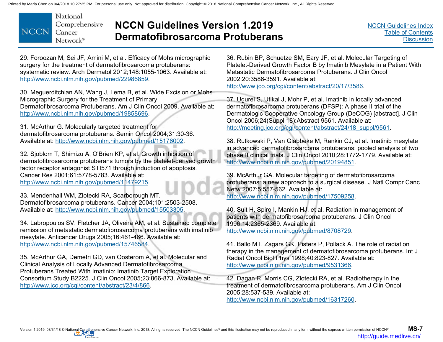

## **NCCN Guidelines Version 1.2019 Dermatofibrosarcoma Protuberans**

[NCCN Guidelines Index](http://www.nccn.org/professionals/physician_gls/f_guidelines.asp)[Table of Contents](#page-2-0) **[Discussion](#page-9-0)** 

29. Foroozan M, Sei JF, Amini M, et al. Efficacy of Mohs micrographic surgery for the treatment of dermatofibrosarcoma protuberans: systematic review. Arch Dermatol 2012;148:1055-1063. Available at: http://www.ncbi.nlm.nih.gov/pubmed/22986859.

30. Meguerditchian AN, Wang J, Lema B, et al. Wide Excision or Mohs Micrographic Surgery for the Treatment of Primary Dermatofibrosarcoma Protuberans. Am J Clin Oncol 2009. Available at: http://www.ncbi.nlm.nih.gov/pubmed/19858696.

31. McArthur G. Molecularly targeted treatment for dermatofibrosarcoma protuberans. Semin Oncol 2004;31:30-36. Available at: http://www.ncbi.nlm.nih.gov/pubmed/15176002.

32. Sjoblom T, Shimizu A, O'Brien KP, et al. Growth inhibition of dermatofibrosarcoma protuberans tumors by the platelet-derived growth factor receptor antagonist STI571 through induction of apoptosis. Cancer Res 2001;61:5778-5783. Available at: http://www.ncbi.nlm.nih.gov/pubmed/11479215.

33. Mendenhall WM, Zlotecki RA, Scarborough MT. Dermatofibrosarcoma protuberans. Cancer 2004;101:2503-2508. Available at: http://www.ncbi.nlm.nih.gov/pubmed/15503305.

34. Labropoulos SV, Fletcher JA, Oliveira AM, et al. Sustained complete remission of metastatic dermatofibrosarcoma protuberans with imatinib mesylate. Anticancer Drugs 2005;16:461-466. Available at: http://www.ncbi.nlm.nih.gov/pubmed/15746584.

35. McArthur GA, Demetri GD, van Oosterom A, et al. Molecular and Clinical Analysis of Locally Advanced Dermatofibrosarcoma Protuberans Treated With Imatinib: Imatinib Target Exploration Consortium Study B2225. J Clin Oncol 2005;23:866-873. Available at: http://www.jco.org/cgi/content/abstract/23/4/866.

36. Rubin BP, Schuetze SM, Eary JF, et al. Molecular Targeting of Platelet-Derived Growth Factor B by Imatinib Mesylate in a Patient With Metastatic Dermatofibrosarcoma Protuberans. J Clin Oncol 2002;20:3586-3591. Available at: http://www.jco.org/cgi/content/abstract/20/17/3586.

37. Ugurel S, Utikal J, Mohr P, et al. Imatinib in locally advanced dermatofibrosarcoma protuberans (DFSP): A phase II trial of the Dermatologic Cooperative Oncology Group (DeCOG) [abstract]. J Clin Oncol 2006;24(Suppl 18):Abstract 9561. Available at: http://meeting.jco.org/cgi/content/abstract/24/18\_suppl/9561.

38. Rutkowski P, Van Glabbeke M, Rankin CJ, et al. Imatinib mesylate in advanced dermatofibrosarcoma protuberans: pooled analysis of two phase II clinical trials. J Clin Oncol 2010;28:1772-1779. Available at: http://www.ncbi.nlm.nih.gov/pubmed/20194851.

39. McArthur GA. Molecular targeting of dermatofibrosarcoma protuberans: a new approach to a surgical disease. J Natl Compr Canc Netw 2007;5:557-562. Available at: http://www.ncbi.nlm.nih.gov/pubmed/17509258.

40. Suit H, Spiro I, Mankin HJ, et al. Radiation in management of patients with dermatofibrosarcoma protuberans. J Clin Oncol 1996;14:2365-2369. Available at: http://www.ncbi.nlm.nih.gov/pubmed/8708729.

41. Ballo MT, Zagars GK, Pisters P, Pollack A. The role of radiation therapy in the management of dermatofibrosarcoma protuberans. Int J Radiat Oncol Biol Phys 1998;40:823-827. Available at: http://www.ncbi.nlm.nih.gov/pubmed/9531366.

42. Dagan R, Morris CG, Zlotecki RA, et al. Radiotherapy in the treatment of dermatofibrosarcoma protuberans. Am J Clin Oncol 2005;28:537-539. Available at: http://www.ncbi.nlm.nih.gov/pubmed/16317260.